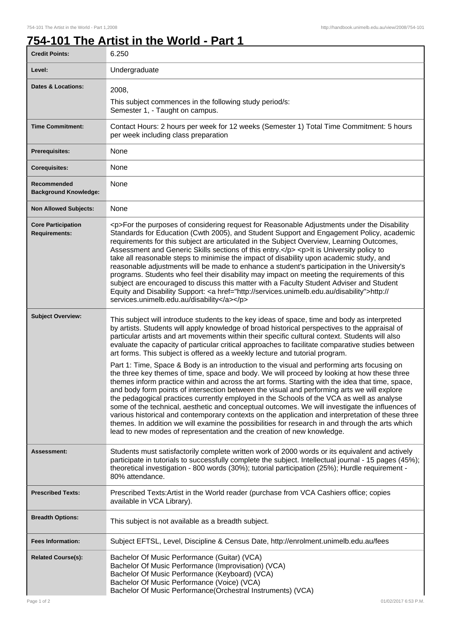## **754-101 The Artist in the World - Part 1**

| <b>Credit Points:</b>                             | 6.250                                                                                                                                                                                                                                                                                                                                                                                                                                                                                                                                                                                                                                                                                                                                                                                                                                                                                                                        |
|---------------------------------------------------|------------------------------------------------------------------------------------------------------------------------------------------------------------------------------------------------------------------------------------------------------------------------------------------------------------------------------------------------------------------------------------------------------------------------------------------------------------------------------------------------------------------------------------------------------------------------------------------------------------------------------------------------------------------------------------------------------------------------------------------------------------------------------------------------------------------------------------------------------------------------------------------------------------------------------|
| Level:                                            | Undergraduate                                                                                                                                                                                                                                                                                                                                                                                                                                                                                                                                                                                                                                                                                                                                                                                                                                                                                                                |
| <b>Dates &amp; Locations:</b>                     | 2008,                                                                                                                                                                                                                                                                                                                                                                                                                                                                                                                                                                                                                                                                                                                                                                                                                                                                                                                        |
|                                                   | This subject commences in the following study period/s:<br>Semester 1, - Taught on campus.                                                                                                                                                                                                                                                                                                                                                                                                                                                                                                                                                                                                                                                                                                                                                                                                                                   |
| <b>Time Commitment:</b>                           | Contact Hours: 2 hours per week for 12 weeks (Semester 1) Total Time Commitment: 5 hours<br>per week including class preparation                                                                                                                                                                                                                                                                                                                                                                                                                                                                                                                                                                                                                                                                                                                                                                                             |
| <b>Prerequisites:</b>                             | None                                                                                                                                                                                                                                                                                                                                                                                                                                                                                                                                                                                                                                                                                                                                                                                                                                                                                                                         |
| <b>Corequisites:</b>                              | None                                                                                                                                                                                                                                                                                                                                                                                                                                                                                                                                                                                                                                                                                                                                                                                                                                                                                                                         |
| Recommended<br><b>Background Knowledge:</b>       | None                                                                                                                                                                                                                                                                                                                                                                                                                                                                                                                                                                                                                                                                                                                                                                                                                                                                                                                         |
| <b>Non Allowed Subjects:</b>                      | None                                                                                                                                                                                                                                                                                                                                                                                                                                                                                                                                                                                                                                                                                                                                                                                                                                                                                                                         |
| <b>Core Participation</b><br><b>Requirements:</b> | <p>For the purposes of considering request for Reasonable Adjustments under the Disability<br/>Standards for Education (Cwth 2005), and Student Support and Engagement Policy, academic<br/>requirements for this subject are articulated in the Subject Overview, Learning Outcomes,<br/>Assessment and Generic Skills sections of this entry.</p> <p>lt is University policy to<br/>take all reasonable steps to minimise the impact of disability upon academic study, and<br/>reasonable adjustments will be made to enhance a student's participation in the University's<br/>programs. Students who feel their disability may impact on meeting the requirements of this<br/>subject are encouraged to discuss this matter with a Faculty Student Adviser and Student<br/>Equity and Disability Support: &lt; a href="http://services.unimelb.edu.au/disability"&gt;http://<br/>services.unimelb.edu.au/disability</p> |
| <b>Subject Overview:</b>                          | This subject will introduce students to the key ideas of space, time and body as interpreted<br>by artists. Students will apply knowledge of broad historical perspectives to the appraisal of<br>particular artists and art movements within their specific cultural context. Students will also<br>evaluate the capacity of particular critical approaches to facilitate comparative studies between<br>art forms. This subject is offered as a weekly lecture and tutorial program.                                                                                                                                                                                                                                                                                                                                                                                                                                       |
|                                                   | Part 1: Time, Space & Body is an introduction to the visual and performing arts focusing on<br>the three key themes of time, space and body. We will proceed by looking at how these three<br>themes inform practice within and across the art forms. Starting with the idea that time, space,<br>and body form points of intersection between the visual and performing arts we will explore<br>the pedagogical practices currently employed in the Schools of the VCA as well as analyse<br>some of the technical, aesthetic and conceptual outcomes. We will investigate the influences of<br>various historical and contemporary contexts on the application and interpretation of these three<br>themes. In addition we will examine the possibilities for research in and through the arts which<br>lead to new modes of representation and the creation of new knowledge.                                             |
| <b>Assessment:</b>                                | Students must satisfactorily complete written work of 2000 words or its equivalent and actively<br>participate in tutorials to successfully complete the subject. Intellectual journal - 15 pages (45%);<br>theoretical investigation - 800 words (30%); tutorial participation (25%); Hurdle requirement -<br>80% attendance.                                                                                                                                                                                                                                                                                                                                                                                                                                                                                                                                                                                               |
| <b>Prescribed Texts:</b>                          | Prescribed Texts: Artist in the World reader (purchase from VCA Cashiers office; copies<br>available in VCA Library).                                                                                                                                                                                                                                                                                                                                                                                                                                                                                                                                                                                                                                                                                                                                                                                                        |
| <b>Breadth Options:</b>                           | This subject is not available as a breadth subject.                                                                                                                                                                                                                                                                                                                                                                                                                                                                                                                                                                                                                                                                                                                                                                                                                                                                          |
| <b>Fees Information:</b>                          | Subject EFTSL, Level, Discipline & Census Date, http://enrolment.unimelb.edu.au/fees                                                                                                                                                                                                                                                                                                                                                                                                                                                                                                                                                                                                                                                                                                                                                                                                                                         |
| <b>Related Course(s):</b>                         | Bachelor Of Music Performance (Guitar) (VCA)<br>Bachelor Of Music Performance (Improvisation) (VCA)<br>Bachelor Of Music Performance (Keyboard) (VCA)<br>Bachelor Of Music Performance (Voice) (VCA)<br>Bachelor Of Music Performance(Orchestral Instruments) (VCA)                                                                                                                                                                                                                                                                                                                                                                                                                                                                                                                                                                                                                                                          |